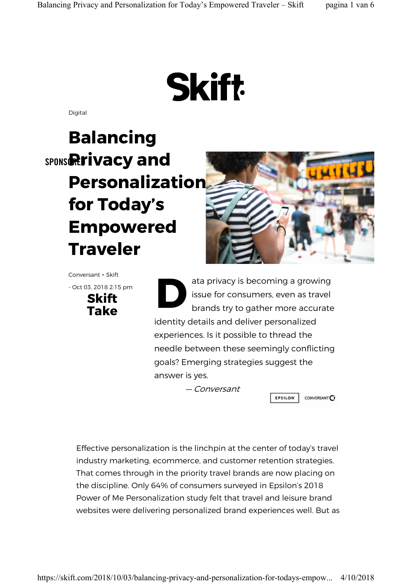# **Skift**

Digital

# spons**Rrivacy and** Balancing Personalization for Today's Empowered Traveler



Conversant + Skift - Oct 03, 2018 2:15 pm Skift<br>Take  $\frac{3,20182:15 \text{ pm}}{5,20182:15 \text{ pm}}$ 

ata privacy is becoming a growing issue for consumers, even as travel brands try to gather more accurate identity details and deliver personalized experiences. Is it possible to thread the needle between these seemingly conflicting goals? Emerging strategies suggest the answer is yes.

— Conversant

**EPSILON** CONVERSANT $\overline{\mathbf{C}}$ 

Effective personalization is the linchpin at the center of today's travel industry marketing, ecommerce, and customer retention strategies. That comes through in the priority travel brands are now placing on the discipline. Only 64% of consumers surveyed in Epsilon's 2018 Power of Me Personalization study felt that travel and leisure brand websites were delivering personalized brand experiences well. But as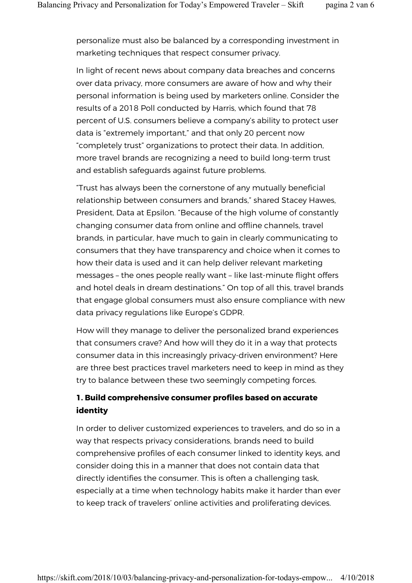personalize must also be balanced by a corresponding investment in marketing techniques that respect consumer privacy.

In light of recent news about company data breaches and concerns over data privacy, more consumers are aware of how and why their personal information is being used by marketers online. Consider the results of a 2018 Poll conducted by Harris, which found that 78 percent of U.S. consumers believe a company's ability to protect user data is "extremely important," and that only 20 percent now "completely trust" organizations to protect their data. In addition, more travel brands are recognizing a need to build long-term trust and establish safeguards against future problems.

"Trust has always been the cornerstone of any mutually beneficial relationship between consumers and brands," shared Stacey Hawes, President, Data at Epsilon. "Because of the high volume of constantly changing consumer data from online and offline channels, travel brands, in particular, have much to gain in clearly communicating to consumers that they have transparency and choice when it comes to how their data is used and it can help deliver relevant marketing messages – the ones people really want – like last-minute flight offers and hotel deals in dream destinations." On top of all this, travel brands that engage global consumers must also ensure compliance with new data privacy regulations like Europe's GDPR.

How will they manage to deliver the personalized brand experiences that consumers crave? And how will they do it in a way that protects consumer data in this increasingly privacy-driven environment? Here are three best practices travel marketers need to keep in mind as they try to balance between these two seemingly competing forces.

### 1. Build comprehensive consumer profiles based on accurate identity

In order to deliver customized experiences to travelers, and do so in a way that respects privacy considerations, brands need to build comprehensive profiles of each consumer linked to identity keys, and consider doing this in a manner that does not contain data that directly identifies the consumer. This is often a challenging task, especially at a time when technology habits make it harder than ever to keep track of travelers' online activities and proliferating devices.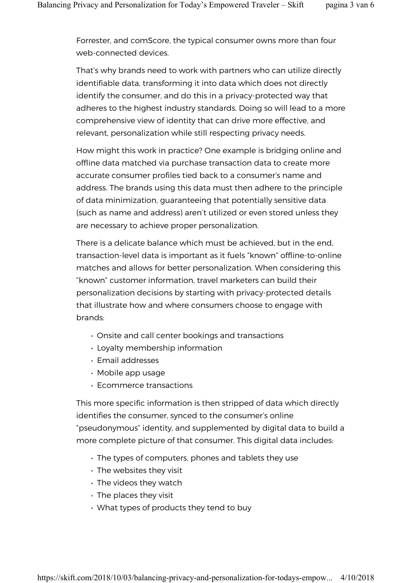Forrester, and comScore, the typical consumer owns more than four web-connected devices.

That's why brands need to work with partners who can utilize directly identifiable data, transforming it into data which does not directly identify the consumer, and do this in a privacy-protected way that adheres to the highest industry standards. Doing so will lead to a more comprehensive view of identity that can drive more effective, and relevant, personalization while still respecting privacy needs.

How might this work in practice? One example is bridging online and offline data matched via purchase transaction data to create more accurate consumer profiles tied back to a consumer's name and address. The brands using this data must then adhere to the principle of data minimization, guaranteeing that potentially sensitive data (such as name and address) aren't utilized or even stored unless they are necessary to achieve proper personalization.

There is a delicate balance which must be achieved, but in the end, transaction-level data is important as it fuels "known" offline-to-online matches and allows for better personalization. When considering this "known" customer information, travel marketers can build their personalization decisions by starting with privacy-protected details that illustrate how and where consumers choose to engage with brands:

- Onsite and call center bookings and transactions
- Loyalty membership information
- Email addresses
- Mobile app usage
- Ecommerce transactions

This more specific information is then stripped of data which directly identifies the consumer, synced to the consumer's online "pseudonymous" identity, and supplemented by digital data to build a more complete picture of that consumer. This digital data includes:

- The types of computers, phones and tablets they use
- The websites they visit
- The videos they watch
- The places they visit
- What types of products they tend to buy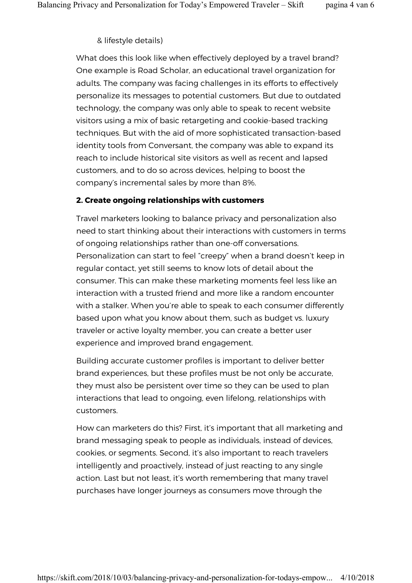#### & lifestyle details)

What does this look like when effectively deployed by a travel brand? One example is Road Scholar, an educational travel organization for adults. The company was facing challenges in its efforts to effectively personalize its messages to potential customers. But due to outdated technology, the company was only able to speak to recent website visitors using a mix of basic retargeting and cookie-based tracking techniques. But with the aid of more sophisticated transaction-based identity tools from Conversant, the company was able to expand its reach to include historical site visitors as well as recent and lapsed customers, and to do so across devices, helping to boost the company's incremental sales by more than 8%.

#### 2. Create ongoing relationships with customers

Travel marketers looking to balance privacy and personalization also need to start thinking about their interactions with customers in terms of ongoing relationships rather than one-off conversations. Personalization can start to feel "creepy" when a brand doesn't keep in regular contact, yet still seems to know lots of detail about the consumer. This can make these marketing moments feel less like an interaction with a trusted friend and more like a random encounter with a stalker. When you're able to speak to each consumer differently based upon what you know about them, such as budget vs. luxury traveler or active loyalty member, you can create a better user experience and improved brand engagement.

Building accurate customer profiles is important to deliver better brand experiences, but these profiles must be not only be accurate, they must also be persistent over time so they can be used to plan interactions that lead to ongoing, even lifelong, relationships with customers.

How can marketers do this? First, it's important that all marketing and brand messaging speak to people as individuals, instead of devices, cookies, or segments. Second, it's also important to reach travelers intelligently and proactively, instead of just reacting to any single action. Last but not least, it's worth remembering that many travel purchases have longer journeys as consumers move through the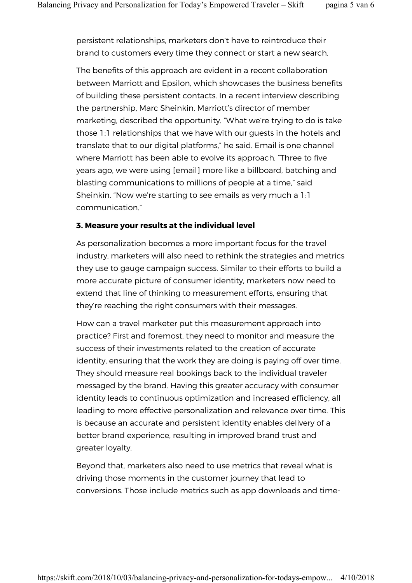persistent relationships, marketers don't have to reintroduce their brand to customers every time they connect or start a new search.

The benefits of this approach are evident in a recent collaboration between Marriott and Epsilon, which showcases the business benefits of building these persistent contacts. In a recent interview describing the partnership, Marc Sheinkin, Marriott's director of member marketing, described the opportunity. "What we're trying to do is take those 1:1 relationships that we have with our guests in the hotels and translate that to our digital platforms," he said. Email is one channel where Marriott has been able to evolve its approach. "Three to five years ago, we were using [email] more like a billboard, batching and blasting communications to millions of people at a time," said Sheinkin. "Now we're starting to see emails as very much a 1:1 communication."

#### 3. Measure your results at the individual level

As personalization becomes a more important focus for the travel industry, marketers will also need to rethink the strategies and metrics they use to gauge campaign success. Similar to their efforts to build a more accurate picture of consumer identity, marketers now need to extend that line of thinking to measurement efforts, ensuring that they're reaching the right consumers with their messages.

How can a travel marketer put this measurement approach into practice? First and foremost, they need to monitor and measure the success of their investments related to the creation of accurate identity, ensuring that the work they are doing is paying off over time. They should measure real bookings back to the individual traveler messaged by the brand. Having this greater accuracy with consumer identity leads to continuous optimization and increased efficiency, all leading to more effective personalization and relevance over time. This is because an accurate and persistent identity enables delivery of a better brand experience, resulting in improved brand trust and greater loyalty.

Beyond that, marketers also need to use metrics that reveal what is driving those moments in the customer journey that lead to conversions. Those include metrics such as app downloads and time